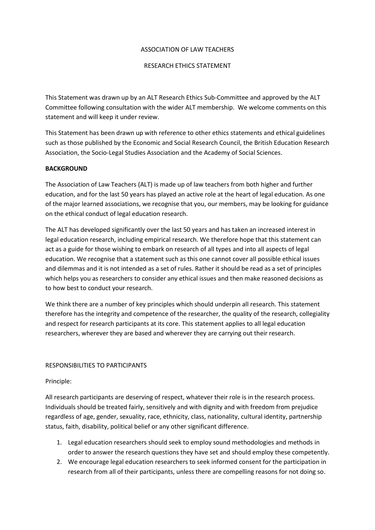#### ASSOCIATION OF LAW TEACHERS

### RESEARCH ETHICS STATEMENT

This Statement was drawn up by an ALT Research Ethics Sub-Committee and approved by the ALT Committee following consultation with the wider ALT membership. We welcome comments on this statement and will keep it under review.

This Statement has been drawn up with reference to other ethics statements and ethical guidelines such as those published by the Economic and Social Research Council, the British Education Research Association, the Socio-Legal Studies Association and the Academy of Social Sciences.

### **BACKGROUND**

The Association of Law Teachers (ALT) is made up of law teachers from both higher and further education, and for the last 50 years has played an active role at the heart of legal education. As one of the major learned associations, we recognise that you, our members, may be looking for guidance on the ethical conduct of legal education research.

The ALT has developed significantly over the last 50 years and has taken an increased interest in legal education research, including empirical research. We therefore hope that this statement can act as a guide for those wishing to embark on research of all types and into all aspects of legal education. We recognise that a statement such as this one cannot cover all possible ethical issues and dilemmas and it is not intended as a set of rules. Rather it should be read as a set of principles which helps you as researchers to consider any ethical issues and then make reasoned decisions as to how best to conduct your research.

We think there are a number of key principles which should underpin all research. This statement therefore has the integrity and competence of the researcher, the quality of the research, collegiality and respect for research participants at its core. This statement applies to all legal education researchers, wherever they are based and wherever they are carrying out their research.

#### RESPONSIBILITIES TO PARTICIPANTS

#### Principle:

All research participants are deserving of respect, whatever their role is in the research process. Individuals should be treated fairly, sensitively and with dignity and with freedom from prejudice regardless of age, gender, sexuality, race, ethnicity, class, nationality, cultural identity, partnership status, faith, disability, political belief or any other significant difference.

- 1. Legal education researchers should seek to employ sound methodologies and methods in order to answer the research questions they have set and should employ these competently.
- 2. We encourage legal education researchers to seek informed consent for the participation in research from all of their participants, unless there are compelling reasons for not doing so.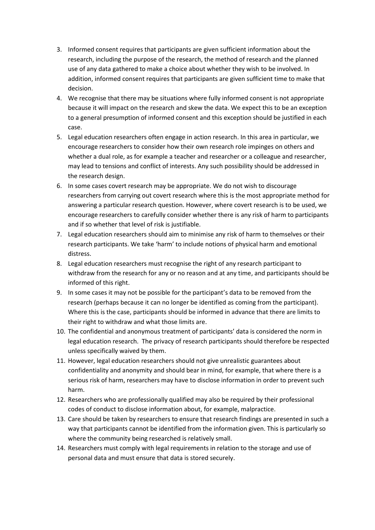- 3. Informed consent requires that participants are given sufficient information about the research, including the purpose of the research, the method of research and the planned use of any data gathered to make a choice about whether they wish to be involved. In addition, informed consent requires that participants are given sufficient time to make that decision.
- 4. We recognise that there may be situations where fully informed consent is not appropriate because it will impact on the research and skew the data. We expect this to be an exception to a general presumption of informed consent and this exception should be justified in each case.
- 5. Legal education researchers often engage in action research. In this area in particular, we encourage researchers to consider how their own research role impinges on others and whether a dual role, as for example a teacher and researcher or a colleague and researcher, may lead to tensions and conflict of interests. Any such possibility should be addressed in the research design.
- 6. In some cases covert research may be appropriate. We do not wish to discourage researchers from carrying out covert research where this is the most appropriate method for answering a particular research question. However, where covert research is to be used, we encourage researchers to carefully consider whether there is any risk of harm to participants and if so whether that level of risk is justifiable.
- 7. Legal education researchers should aim to minimise any risk of harm to themselves or their research participants. We take 'harm' to include notions of physical harm and emotional distress.
- 8. Legal education researchers must recognise the right of any research participant to withdraw from the research for any or no reason and at any time, and participants should be informed of this right.
- 9. In some cases it may not be possible for the participant's data to be removed from the research (perhaps because it can no longer be identified as coming from the participant). Where this is the case, participants should be informed in advance that there are limits to their right to withdraw and what those limits are.
- 10. The confidential and anonymous treatment of participants' data is considered the norm in legal education research. The privacy of research participants should therefore be respected unless specifically waived by them.
- 11. However, legal education researchers should not give unrealistic guarantees about confidentiality and anonymity and should bear in mind, for example, that where there is a serious risk of harm, researchers may have to disclose information in order to prevent such harm.
- 12. Researchers who are professionally qualified may also be required by their professional codes of conduct to disclose information about, for example, malpractice.
- 13. Care should be taken by researchers to ensure that research findings are presented in such a way that participants cannot be identified from the information given. This is particularly so where the community being researched is relatively small.
- 14. Researchers must comply with legal requirements in relation to the storage and use of personal data and must ensure that data is stored securely.